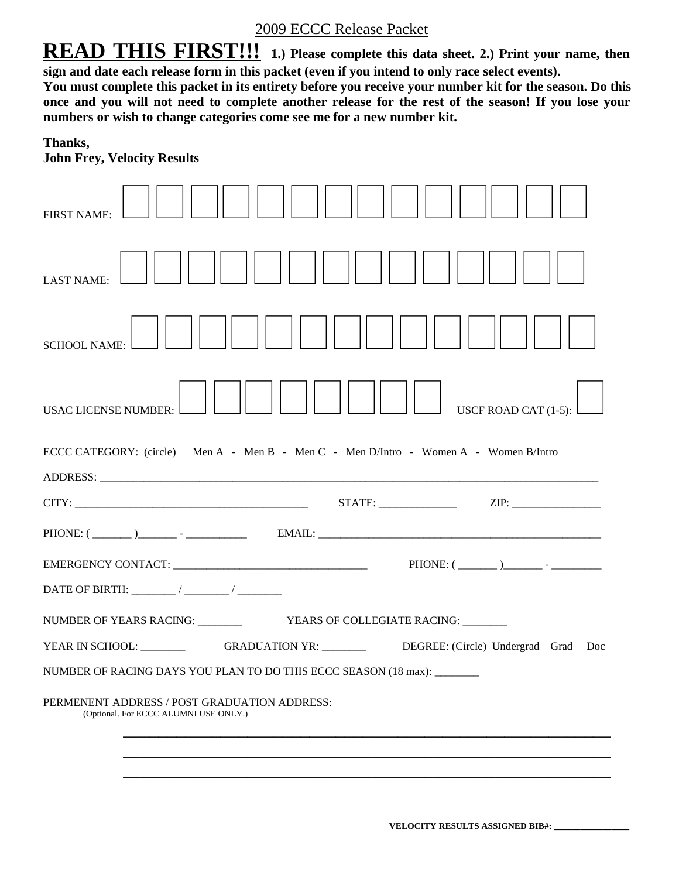## 2009 ECCC Release Packet

**READ THIS FIRST!!!** 1.) Please complete this data sheet. 2.) Print your name, then **sign and date each release form in this packet (even if you intend to only race select events).** 

**You must complete this packet in its entirety before you receive your number kit for the season. Do this once and you will not need to complete another release for the rest of the season! If you lose your numbers or wish to change categories come see me for a new number kit.**

#### **Thanks,**

| <b>FIRST NAME:</b>                                                                                                                                                                                                             |
|--------------------------------------------------------------------------------------------------------------------------------------------------------------------------------------------------------------------------------|
| <b>LAST NAME:</b>                                                                                                                                                                                                              |
| <b>SCHOOL NAME:</b>                                                                                                                                                                                                            |
| USCF ROAD CAT $(1-5)$ :<br><b>USAC LICENSE NUMBER:</b>                                                                                                                                                                         |
| ECCC CATEGORY: (circle) Men A - Men B - Men C - Men D/Intro - Women A - Women B/Intro                                                                                                                                          |
| ADDRESS: North Contract of the Contract of the Contract of the Contract of the Contract of the Contract of the Contract of the Contract of the Contract of the Contract of the Contract of the Contract of the Contract of the |
|                                                                                                                                                                                                                                |
| PHONE: $(\_\_)$ $\_\_$ - $\_\_$ - $\_\_$ EMAIL: $\_\_$                                                                                                                                                                         |
|                                                                                                                                                                                                                                |
|                                                                                                                                                                                                                                |
|                                                                                                                                                                                                                                |
| YEAR IN SCHOOL: GRADUATION YR: DEGREE: (Circle) Undergrad Grad Doc                                                                                                                                                             |
| NUMBER OF RACING DAYS YOU PLAN TO DO THIS ECCC SEASON (18 max): ______                                                                                                                                                         |
| PERMENENT ADDRESS / POST GRADUATION ADDRESS:<br>(Optional. For ECCC ALUMNI USE ONLY.)                                                                                                                                          |
|                                                                                                                                                                                                                                |
|                                                                                                                                                                                                                                |
|                                                                                                                                                                                                                                |

**John Frey, Velocity Results**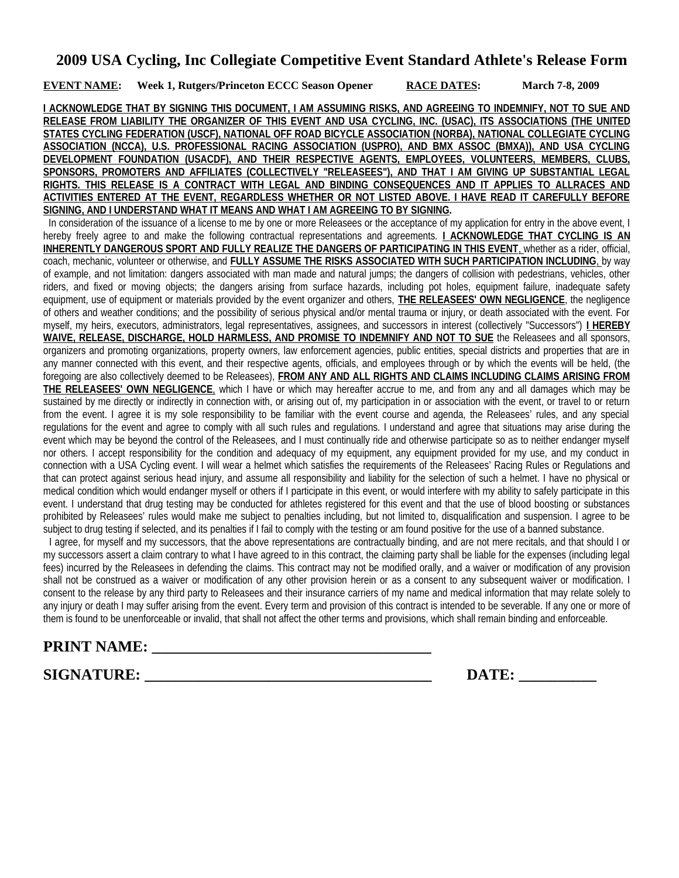**EVENT NAME: Week 1, Rutgers/Princeton ECCC Season Opener RACE DATES: March 7-8, 2009**

**I ACKNOWLEDGE THAT BY SIGNING THIS DOCUMENT, I AM ASSUMING RISKS, AND AGREEING TO INDEMNIFY, NOT TO SUE AND RELEASE FROM LIABILITY THE ORGANIZER OF THIS EVENT AND USA CYCLING, INC. (USAC), ITS ASSOCIATIONS (THE UNITED STATES CYCLING FEDERATION (USCF), NATIONAL OFF ROAD BICYCLE ASSOCIATION (NORBA), NATIONAL COLLEGIATE CYCLING ASSOCIATION (NCCA), U.S. PROFESSIONAL RACING ASSOCIATION (USPRO), AND BMX ASSOC (BMXA)), AND USA CYCLING DEVELOPMENT FOUNDATION (USACDF), AND THEIR RESPECTIVE AGENTS, EMPLOYEES, VOLUNTEERS, MEMBERS, CLUBS, SPONSORS, PROMOTERS AND AFFILIATES (COLLECTIVELY "RELEASEES"), AND THAT I AM GIVING UP SUBSTANTIAL LEGAL RIGHTS. THIS RELEASE IS A CONTRACT WITH LEGAL AND BINDING CONSEQUENCES AND IT APPLIES TO ALLRACES AND ACTIVITIES ENTERED AT THE EVENT, REGARDLESS WHETHER OR NOT LISTED ABOVE. I HAVE READ IT CAREFULLY BEFORE SIGNING, AND I UNDERSTAND WHAT IT MEANS AND WHAT I AM AGREEING TO BY SIGNING.**

 In consideration of the issuance of a license to me by one or more Releasees or the acceptance of my application for entry in the above event, I hereby freely agree to and make the following contractual representations and agreements. **I ACKNOWLEDGE THAT CYCLING IS AN INHERENTLY DANGEROUS SPORT AND FULLY REALIZE THE DANGERS OF PARTICIPATING IN THIS EVENT**, whether as a rider, official, coach, mechanic, volunteer or otherwise, and **FULLY ASSUME THE RISKS ASSOCIATED WITH SUCH PARTICIPATION INCLUDING** , by way of example, and not limitation: dangers associated with man made and natural jumps; the dangers of collision with pedestrians, vehicles, other riders, and fixed or moving objects; the dangers arising from surface hazards, including pot holes, equipment failure, inadequate safety equipment, use of equipment or materials provided by the event organizer and others, **THE RELEASEES' OWN NEGLIGENCE**, the negligence of others and weather conditions; and the possibility of serious physical and/or mental trauma or injury, or death associated with the event. For myself, my heirs, executors, administrators, legal representatives, assignees, and successors in interest (collectively "Successors") **I HEREBY WAIVE, RELEASE, DISCHARGE, HOLD HARMLESS, AND PROMISE TO INDEMNIFY AND NOT TO SUE** the Releasees and all sponsors, organizers and promoting organizations, property owners, law enforcement agencies, public entities, special districts and properties that are in any manner connected with this event, and their respective agents, officials, and employees through or by which the events will be held, (the foregoing are also collectively deemed to be Releasees), **FROM ANY AND ALL RIGHTS AND CLAIMS INCLUDING CLAIMS ARISING FROM THE RELEASEES' OWN NEGLIGENCE**, which I have or which may hereafter accrue to me, and from any and all damages which may be sustained by me directly or indirectly in connection with, or arising out of, my participation in or association with the event, or travel to or return from the event. I agree it is my sole responsibility to be familiar with the event course and agenda, the Releasees' rules, and any special regulations for the event and agree to comply with all such rules and regulations. I understand and agree that situations may arise during the event which may be beyond the control of the Releasees, and I must continually ride and otherwise participate so as to neither endanger myself nor others. I accept responsibility for the condition and adequacy of my equipment, any equipment provided for my use, and my conduct in connection with a USA Cycling event. I will wear a helmet which satisfies the requirements of the Releasees' Racing Rules or Regulations and that can protect against serious head injury, and assume all responsibility and liability for the selection of such a helmet. I have no physical or medical condition which would endanger myself or others if I participate in this event, or would interfere with my ability to safely participate in this event. I understand that drug testing may be conducted for athletes registered for this event and that the use of blood boosting or substances prohibited by Releasees' rules would make me subject to penalties including, but not limited to, disqualification and suspension. I agree to be subject to drug testing if selected, and its penalties if I fail to comply with the testing or am found positive for the use of a banned substance.

 I agree, for myself and my successors, that the above representations are contractually binding, and are not mere recitals, and that should I or my successors assert a claim contrary to what I have agreed to in this contract, the claiming party shall be liable for the expenses (including legal fees) incurred by the Releasees in defending the claims. This contract may not be modified orally, and a waiver or modification of any provision shall not be construed as a waiver or modification of any other provision herein or as a consent to any subsequent waiver or modification. I consent to the release by any third party to Releasees and their insurance carriers of my name and medical information that may relate solely to any injury or death I may suffer arising from the event. Every term and provision of this contract is intended to be severable. If any one or more of them is found to be unenforceable or invalid, that shall not affect the other terms and provisions, which shall remain binding and enforceable.

## **PRINT NAME: \_\_\_\_\_\_\_\_\_\_\_\_\_\_\_\_\_\_\_\_\_\_\_\_\_\_\_\_\_\_\_\_\_\_\_\_**

**SIGNATURE: \_\_\_\_\_\_\_\_\_\_\_\_\_\_\_\_\_\_\_\_\_\_\_\_\_\_\_\_\_\_\_\_\_\_\_\_\_ DATE: \_\_\_\_\_\_\_\_\_\_**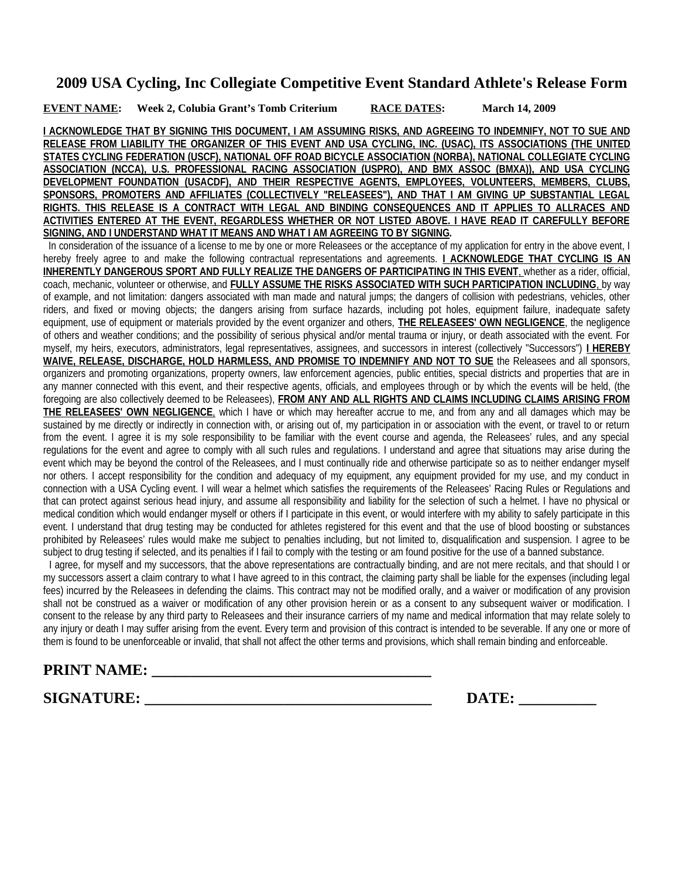**EVENT NAME: Week 2, Colubia Grant's Tomb Criterium RACE DATES: March 14, 2009**

**I ACKNOWLEDGE THAT BY SIGNING THIS DOCUMENT, I AM ASSUMING RISKS, AND AGREEING TO INDEMNIFY, NOT TO SUE AND RELEASE FROM LIABILITY THE ORGANIZER OF THIS EVENT AND USA CYCLING, INC. (USAC), ITS ASSOCIATIONS (THE UNITED STATES CYCLING FEDERATION (USCF), NATIONAL OFF ROAD BICYCLE ASSOCIATION (NORBA), NATIONAL COLLEGIATE CYCLING ASSOCIATION (NCCA), U.S. PROFESSIONAL RACING ASSOCIATION (USPRO), AND BMX ASSOC (BMXA)), AND USA CYCLING DEVELOPMENT FOUNDATION (USACDF), AND THEIR RESPECTIVE AGENTS, EMPLOYEES, VOLUNTEERS, MEMBERS, CLUBS, SPONSORS, PROMOTERS AND AFFILIATES (COLLECTIVELY "RELEASEES"), AND THAT I AM GIVING UP SUBSTANTIAL LEGAL RIGHTS. THIS RELEASE IS A CONTRACT WITH LEGAL AND BINDING CONSEQUENCES AND IT APPLIES TO ALLRACES AND ACTIVITIES ENTERED AT THE EVENT, REGARDLESS WHETHER OR NOT LISTED ABOVE. I HAVE READ IT CAREFULLY BEFORE SIGNING, AND I UNDERSTAND WHAT IT MEANS AND WHAT I AM AGREEING TO BY SIGNING.**

 In consideration of the issuance of a license to me by one or more Releasees or the acceptance of my application for entry in the above event, I hereby freely agree to and make the following contractual representations and agreements. **I ACKNOWLEDGE THAT CYCLING IS AN INHERENTLY DANGEROUS SPORT AND FULLY REALIZE THE DANGERS OF PARTICIPATING IN THIS EVENT**, whether as a rider, official, coach, mechanic, volunteer or otherwise, and **FULLY ASSUME THE RISKS ASSOCIATED WITH SUCH PARTICIPATION INCLUDING** , by way of example, and not limitation: dangers associated with man made and natural jumps; the dangers of collision with pedestrians, vehicles, other riders, and fixed or moving objects; the dangers arising from surface hazards, including pot holes, equipment failure, inadequate safety equipment, use of equipment or materials provided by the event organizer and others, **THE RELEASEES' OWN NEGLIGENCE**, the negligence of others and weather conditions; and the possibility of serious physical and/or mental trauma or injury, or death associated with the event. For myself, my heirs, executors, administrators, legal representatives, assignees, and successors in interest (collectively "Successors") **I HEREBY WAIVE, RELEASE, DISCHARGE, HOLD HARMLESS, AND PROMISE TO INDEMNIFY AND NOT TO SUE** the Releasees and all sponsors, organizers and promoting organizations, property owners, law enforcement agencies, public entities, special districts and properties that are in any manner connected with this event, and their respective agents, officials, and employees through or by which the events will be held, (the foregoing are also collectively deemed to be Releasees), **FROM ANY AND ALL RIGHTS AND CLAIMS INCLUDING CLAIMS ARISING FROM THE RELEASEES' OWN NEGLIGENCE**, which I have or which may hereafter accrue to me, and from any and all damages which may be sustained by me directly or indirectly in connection with, or arising out of, my participation in or association with the event, or travel to or return from the event. I agree it is my sole responsibility to be familiar with the event course and agenda, the Releasees' rules, and any special regulations for the event and agree to comply with all such rules and regulations. I understand and agree that situations may arise during the event which may be beyond the control of the Releasees, and I must continually ride and otherwise participate so as to neither endanger myself nor others. I accept responsibility for the condition and adequacy of my equipment, any equipment provided for my use, and my conduct in connection with a USA Cycling event. I will wear a helmet which satisfies the requirements of the Releasees' Racing Rules or Regulations and that can protect against serious head injury, and assume all responsibility and liability for the selection of such a helmet. I have no physical or medical condition which would endanger myself or others if I participate in this event, or would interfere with my ability to safely participate in this event. I understand that drug testing may be conducted for athletes registered for this event and that the use of blood boosting or substances prohibited by Releasees' rules would make me subject to penalties including, but not limited to, disqualification and suspension. I agree to be subject to drug testing if selected, and its penalties if I fail to comply with the testing or am found positive for the use of a banned substance.

 I agree, for myself and my successors, that the above representations are contractually binding, and are not mere recitals, and that should I or my successors assert a claim contrary to what I have agreed to in this contract, the claiming party shall be liable for the expenses (including legal fees) incurred by the Releasees in defending the claims. This contract may not be modified orally, and a waiver or modification of any provision shall not be construed as a waiver or modification of any other provision herein or as a consent to any subsequent waiver or modification. I consent to the release by any third party to Releasees and their insurance carriers of my name and medical information that may relate solely to any injury or death I may suffer arising from the event. Every term and provision of this contract is intended to be severable. If any one or more of them is found to be unenforceable or invalid, that shall not affect the other terms and provisions, which shall remain binding and enforceable.

# **PRINT NAME: \_\_\_\_\_\_\_\_\_\_\_\_\_\_\_\_\_\_\_\_\_\_\_\_\_\_\_\_\_\_\_\_\_\_\_\_**

**SIGNATURE: \_\_\_\_\_\_\_\_\_\_\_\_\_\_\_\_\_\_\_\_\_\_\_\_\_\_\_\_\_\_\_\_\_\_\_\_\_ DATE: \_\_\_\_\_\_\_\_\_\_**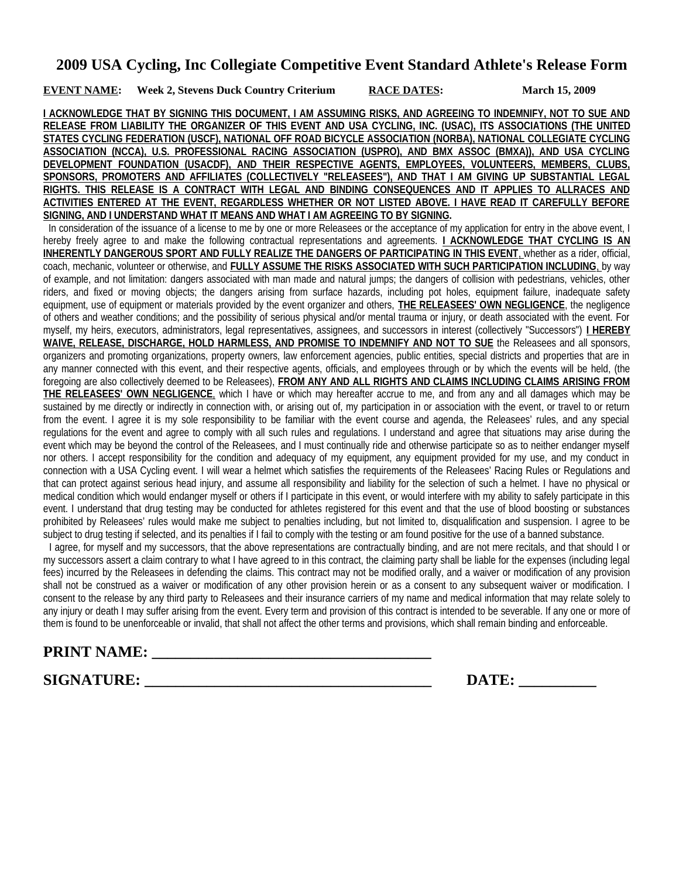**EVENT NAME:** Week 2, Stevens Duck Country Criterium RACE DATES: March 15, 2009

**I ACKNOWLEDGE THAT BY SIGNING THIS DOCUMENT, I AM ASSUMING RISKS, AND AGREEING TO INDEMNIFY, NOT TO SUE AND RELEASE FROM LIABILITY THE ORGANIZER OF THIS EVENT AND USA CYCLING, INC. (USAC), ITS ASSOCIATIONS (THE UNITED STATES CYCLING FEDERATION (USCF), NATIONAL OFF ROAD BICYCLE ASSOCIATION (NORBA), NATIONAL COLLEGIATE CYCLING ASSOCIATION (NCCA), U.S. PROFESSIONAL RACING ASSOCIATION (USPRO), AND BMX ASSOC (BMXA)), AND USA CYCLING DEVELOPMENT FOUNDATION (USACDF), AND THEIR RESPECTIVE AGENTS, EMPLOYEES, VOLUNTEERS, MEMBERS, CLUBS, SPONSORS, PROMOTERS AND AFFILIATES (COLLECTIVELY "RELEASEES"), AND THAT I AM GIVING UP SUBSTANTIAL LEGAL RIGHTS. THIS RELEASE IS A CONTRACT WITH LEGAL AND BINDING CONSEQUENCES AND IT APPLIES TO ALLRACES AND ACTIVITIES ENTERED AT THE EVENT, REGARDLESS WHETHER OR NOT LISTED ABOVE. I HAVE READ IT CAREFULLY BEFORE SIGNING, AND I UNDERSTAND WHAT IT MEANS AND WHAT I AM AGREEING TO BY SIGNING.**

 In consideration of the issuance of a license to me by one or more Releasees or the acceptance of my application for entry in the above event, I hereby freely agree to and make the following contractual representations and agreements. **I ACKNOWLEDGE THAT CYCLING IS AN INHERENTLY DANGEROUS SPORT AND FULLY REALIZE THE DANGERS OF PARTICIPATING IN THIS EVENT**, whether as a rider, official, coach, mechanic, volunteer or otherwise, and **FULLY ASSUME THE RISKS ASSOCIATED WITH SUCH PARTICIPATION INCLUDING** , by way of example, and not limitation: dangers associated with man made and natural jumps; the dangers of collision with pedestrians, vehicles, other riders, and fixed or moving objects; the dangers arising from surface hazards, including pot holes, equipment failure, inadequate safety equipment, use of equipment or materials provided by the event organizer and others, **THE RELEASEES' OWN NEGLIGENCE**, the negligence of others and weather conditions; and the possibility of serious physical and/or mental trauma or injury, or death associated with the event. For myself, my heirs, executors, administrators, legal representatives, assignees, and successors in interest (collectively "Successors") **I HEREBY WAIVE, RELEASE, DISCHARGE, HOLD HARMLESS, AND PROMISE TO INDEMNIFY AND NOT TO SUE** the Releasees and all sponsors, organizers and promoting organizations, property owners, law enforcement agencies, public entities, special districts and properties that are in any manner connected with this event, and their respective agents, officials, and employees through or by which the events will be held, (the foregoing are also collectively deemed to be Releasees), **FROM ANY AND ALL RIGHTS AND CLAIMS INCLUDING CLAIMS ARISING FROM THE RELEASEES' OWN NEGLIGENCE**, which I have or which may hereafter accrue to me, and from any and all damages which may be sustained by me directly or indirectly in connection with, or arising out of, my participation in or association with the event, or travel to or return from the event. I agree it is my sole responsibility to be familiar with the event course and agenda, the Releasees' rules, and any special regulations for the event and agree to comply with all such rules and regulations. I understand and agree that situations may arise during the event which may be beyond the control of the Releasees, and I must continually ride and otherwise participate so as to neither endanger myself nor others. I accept responsibility for the condition and adequacy of my equipment, any equipment provided for my use, and my conduct in connection with a USA Cycling event. I will wear a helmet which satisfies the requirements of the Releasees' Racing Rules or Regulations and that can protect against serious head injury, and assume all responsibility and liability for the selection of such a helmet. I have no physical or medical condition which would endanger myself or others if I participate in this event, or would interfere with my ability to safely participate in this event. I understand that drug testing may be conducted for athletes registered for this event and that the use of blood boosting or substances prohibited by Releasees' rules would make me subject to penalties including, but not limited to, disqualification and suspension. I agree to be subject to drug testing if selected, and its penalties if I fail to comply with the testing or am found positive for the use of a banned substance.

 I agree, for myself and my successors, that the above representations are contractually binding, and are not mere recitals, and that should I or my successors assert a claim contrary to what I have agreed to in this contract, the claiming party shall be liable for the expenses (including legal fees) incurred by the Releasees in defending the claims. This contract may not be modified orally, and a waiver or modification of any provision shall not be construed as a waiver or modification of any other provision herein or as a consent to any subsequent waiver or modification. I consent to the release by any third party to Releasees and their insurance carriers of my name and medical information that may relate solely to any injury or death I may suffer arising from the event. Every term and provision of this contract is intended to be severable. If any one or more of them is found to be unenforceable or invalid, that shall not affect the other terms and provisions, which shall remain binding and enforceable.

# **PRINT NAME: \_\_\_\_\_\_\_\_\_\_\_\_\_\_\_\_\_\_\_\_\_\_\_\_\_\_\_\_\_\_\_\_\_\_\_\_**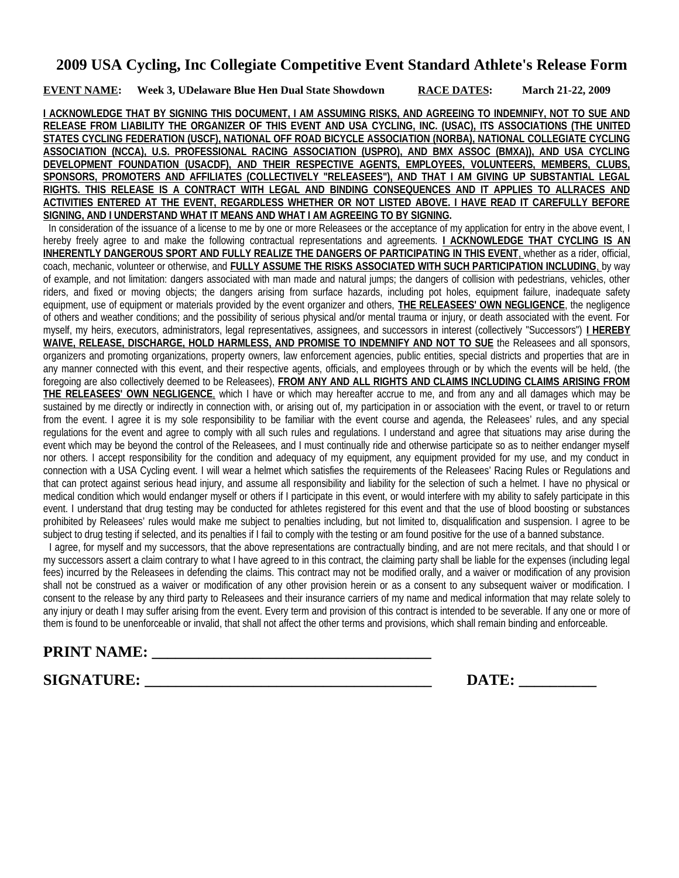**EVENT NAME: Week 3, UDelaware Blue Hen Dual State Showdown RACE DATES: March 21-22, 2009**

**I ACKNOWLEDGE THAT BY SIGNING THIS DOCUMENT, I AM ASSUMING RISKS, AND AGREEING TO INDEMNIFY, NOT TO SUE AND RELEASE FROM LIABILITY THE ORGANIZER OF THIS EVENT AND USA CYCLING, INC. (USAC), ITS ASSOCIATIONS (THE UNITED STATES CYCLING FEDERATION (USCF), NATIONAL OFF ROAD BICYCLE ASSOCIATION (NORBA), NATIONAL COLLEGIATE CYCLING ASSOCIATION (NCCA), U.S. PROFESSIONAL RACING ASSOCIATION (USPRO), AND BMX ASSOC (BMXA)), AND USA CYCLING DEVELOPMENT FOUNDATION (USACDF), AND THEIR RESPECTIVE AGENTS, EMPLOYEES, VOLUNTEERS, MEMBERS, CLUBS, SPONSORS, PROMOTERS AND AFFILIATES (COLLECTIVELY "RELEASEES"), AND THAT I AM GIVING UP SUBSTANTIAL LEGAL RIGHTS. THIS RELEASE IS A CONTRACT WITH LEGAL AND BINDING CONSEQUENCES AND IT APPLIES TO ALLRACES AND ACTIVITIES ENTERED AT THE EVENT, REGARDLESS WHETHER OR NOT LISTED ABOVE. I HAVE READ IT CAREFULLY BEFORE SIGNING, AND I UNDERSTAND WHAT IT MEANS AND WHAT I AM AGREEING TO BY SIGNING.**

 In consideration of the issuance of a license to me by one or more Releasees or the acceptance of my application for entry in the above event, I hereby freely agree to and make the following contractual representations and agreements. **I ACKNOWLEDGE THAT CYCLING IS AN INHERENTLY DANGEROUS SPORT AND FULLY REALIZE THE DANGERS OF PARTICIPATING IN THIS EVENT**, whether as a rider, official, coach, mechanic, volunteer or otherwise, and **FULLY ASSUME THE RISKS ASSOCIATED WITH SUCH PARTICIPATION INCLUDING** , by way of example, and not limitation: dangers associated with man made and natural jumps; the dangers of collision with pedestrians, vehicles, other riders, and fixed or moving objects; the dangers arising from surface hazards, including pot holes, equipment failure, inadequate safety equipment, use of equipment or materials provided by the event organizer and others, **THE RELEASEES' OWN NEGLIGENCE**, the negligence of others and weather conditions; and the possibility of serious physical and/or mental trauma or injury, or death associated with the event. For myself, my heirs, executors, administrators, legal representatives, assignees, and successors in interest (collectively "Successors") **I HEREBY WAIVE, RELEASE, DISCHARGE, HOLD HARMLESS, AND PROMISE TO INDEMNIFY AND NOT TO SUE** the Releasees and all sponsors, organizers and promoting organizations, property owners, law enforcement agencies, public entities, special districts and properties that are in any manner connected with this event, and their respective agents, officials, and employees through or by which the events will be held, (the foregoing are also collectively deemed to be Releasees), **FROM ANY AND ALL RIGHTS AND CLAIMS INCLUDING CLAIMS ARISING FROM THE RELEASEES' OWN NEGLIGENCE**, which I have or which may hereafter accrue to me, and from any and all damages which may be sustained by me directly or indirectly in connection with, or arising out of, my participation in or association with the event, or travel to or return from the event. I agree it is my sole responsibility to be familiar with the event course and agenda, the Releasees' rules, and any special regulations for the event and agree to comply with all such rules and regulations. I understand and agree that situations may arise during the event which may be beyond the control of the Releasees, and I must continually ride and otherwise participate so as to neither endanger myself nor others. I accept responsibility for the condition and adequacy of my equipment, any equipment provided for my use, and my conduct in connection with a USA Cycling event. I will wear a helmet which satisfies the requirements of the Releasees' Racing Rules or Regulations and that can protect against serious head injury, and assume all responsibility and liability for the selection of such a helmet. I have no physical or medical condition which would endanger myself or others if I participate in this event, or would interfere with my ability to safely participate in this event. I understand that drug testing may be conducted for athletes registered for this event and that the use of blood boosting or substances prohibited by Releasees' rules would make me subject to penalties including, but not limited to, disqualification and suspension. I agree to be subject to drug testing if selected, and its penalties if I fail to comply with the testing or am found positive for the use of a banned substance.

 I agree, for myself and my successors, that the above representations are contractually binding, and are not mere recitals, and that should I or my successors assert a claim contrary to what I have agreed to in this contract, the claiming party shall be liable for the expenses (including legal fees) incurred by the Releasees in defending the claims. This contract may not be modified orally, and a waiver or modification of any provision shall not be construed as a waiver or modification of any other provision herein or as a consent to any subsequent waiver or modification. I consent to the release by any third party to Releasees and their insurance carriers of my name and medical information that may relate solely to any injury or death I may suffer arising from the event. Every term and provision of this contract is intended to be severable. If any one or more of them is found to be unenforceable or invalid, that shall not affect the other terms and provisions, which shall remain binding and enforceable.

# **PRINT NAME: \_\_\_\_\_\_\_\_\_\_\_\_\_\_\_\_\_\_\_\_\_\_\_\_\_\_\_\_\_\_\_\_\_\_\_\_**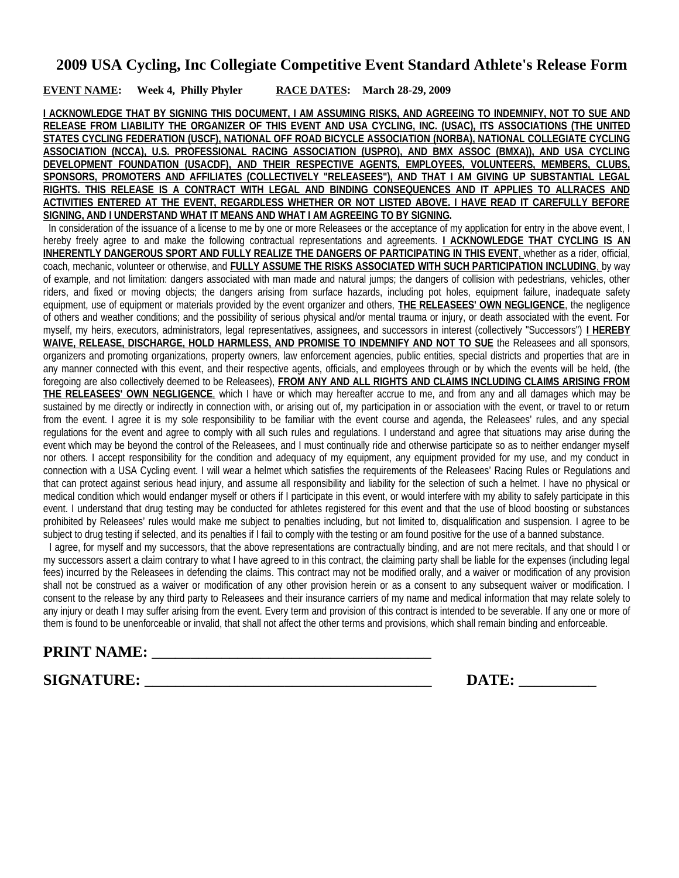#### **EVENT NAME: Week 4, Philly Phyler RACE DATES: March 28-29, 2009**

**I ACKNOWLEDGE THAT BY SIGNING THIS DOCUMENT, I AM ASSUMING RISKS, AND AGREEING TO INDEMNIFY, NOT TO SUE AND RELEASE FROM LIABILITY THE ORGANIZER OF THIS EVENT AND USA CYCLING, INC. (USAC), ITS ASSOCIATIONS (THE UNITED STATES CYCLING FEDERATION (USCF), NATIONAL OFF ROAD BICYCLE ASSOCIATION (NORBA), NATIONAL COLLEGIATE CYCLING ASSOCIATION (NCCA), U.S. PROFESSIONAL RACING ASSOCIATION (USPRO), AND BMX ASSOC (BMXA)), AND USA CYCLING DEVELOPMENT FOUNDATION (USACDF), AND THEIR RESPECTIVE AGENTS, EMPLOYEES, VOLUNTEERS, MEMBERS, CLUBS, SPONSORS, PROMOTERS AND AFFILIATES (COLLECTIVELY "RELEASEES"), AND THAT I AM GIVING UP SUBSTANTIAL LEGAL RIGHTS. THIS RELEASE IS A CONTRACT WITH LEGAL AND BINDING CONSEQUENCES AND IT APPLIES TO ALLRACES AND ACTIVITIES ENTERED AT THE EVENT, REGARDLESS WHETHER OR NOT LISTED ABOVE. I HAVE READ IT CAREFULLY BEFORE SIGNING, AND I UNDERSTAND WHAT IT MEANS AND WHAT I AM AGREEING TO BY SIGNING.**

 In consideration of the issuance of a license to me by one or more Releasees or the acceptance of my application for entry in the above event, I hereby freely agree to and make the following contractual representations and agreements. **I ACKNOWLEDGE THAT CYCLING IS AN INHERENTLY DANGEROUS SPORT AND FULLY REALIZE THE DANGERS OF PARTICIPATING IN THIS EVENT**, whether as a rider, official, coach, mechanic, volunteer or otherwise, and **FULLY ASSUME THE RISKS ASSOCIATED WITH SUCH PARTICIPATION INCLUDING** , by way of example, and not limitation: dangers associated with man made and natural jumps; the dangers of collision with pedestrians, vehicles, other riders, and fixed or moving objects; the dangers arising from surface hazards, including pot holes, equipment failure, inadequate safety equipment, use of equipment or materials provided by the event organizer and others, **THE RELEASEES' OWN NEGLIGENCE**, the negligence of others and weather conditions; and the possibility of serious physical and/or mental trauma or injury, or death associated with the event. For myself, my heirs, executors, administrators, legal representatives, assignees, and successors in interest (collectively "Successors") **I HEREBY WAIVE, RELEASE, DISCHARGE, HOLD HARMLESS, AND PROMISE TO INDEMNIFY AND NOT TO SUE** the Releasees and all sponsors, organizers and promoting organizations, property owners, law enforcement agencies, public entities, special districts and properties that are in any manner connected with this event, and their respective agents, officials, and employees through or by which the events will be held, (the foregoing are also collectively deemed to be Releasees), **FROM ANY AND ALL RIGHTS AND CLAIMS INCLUDING CLAIMS ARISING FROM THE RELEASEES' OWN NEGLIGENCE**, which I have or which may hereafter accrue to me, and from any and all damages which may be sustained by me directly or indirectly in connection with, or arising out of, my participation in or association with the event, or travel to or return from the event. I agree it is my sole responsibility to be familiar with the event course and agenda, the Releasees' rules, and any special regulations for the event and agree to comply with all such rules and regulations. I understand and agree that situations may arise during the event which may be beyond the control of the Releasees, and I must continually ride and otherwise participate so as to neither endanger myself nor others. I accept responsibility for the condition and adequacy of my equipment, any equipment provided for my use, and my conduct in connection with a USA Cycling event. I will wear a helmet which satisfies the requirements of the Releasees' Racing Rules or Regulations and that can protect against serious head injury, and assume all responsibility and liability for the selection of such a helmet. I have no physical or medical condition which would endanger myself or others if I participate in this event, or would interfere with my ability to safely participate in this event. I understand that drug testing may be conducted for athletes registered for this event and that the use of blood boosting or substances prohibited by Releasees' rules would make me subject to penalties including, but not limited to, disqualification and suspension. I agree to be subject to drug testing if selected, and its penalties if I fail to comply with the testing or am found positive for the use of a banned substance.

 I agree, for myself and my successors, that the above representations are contractually binding, and are not mere recitals, and that should I or my successors assert a claim contrary to what I have agreed to in this contract, the claiming party shall be liable for the expenses (including legal fees) incurred by the Releasees in defending the claims. This contract may not be modified orally, and a waiver or modification of any provision shall not be construed as a waiver or modification of any other provision herein or as a consent to any subsequent waiver or modification. I consent to the release by any third party to Releasees and their insurance carriers of my name and medical information that may relate solely to any injury or death I may suffer arising from the event. Every term and provision of this contract is intended to be severable. If any one or more of them is found to be unenforceable or invalid, that shall not affect the other terms and provisions, which shall remain binding and enforceable.

# **PRINT NAME: \_\_\_\_\_\_\_\_\_\_\_\_\_\_\_\_\_\_\_\_\_\_\_\_\_\_\_\_\_\_\_\_\_\_\_\_**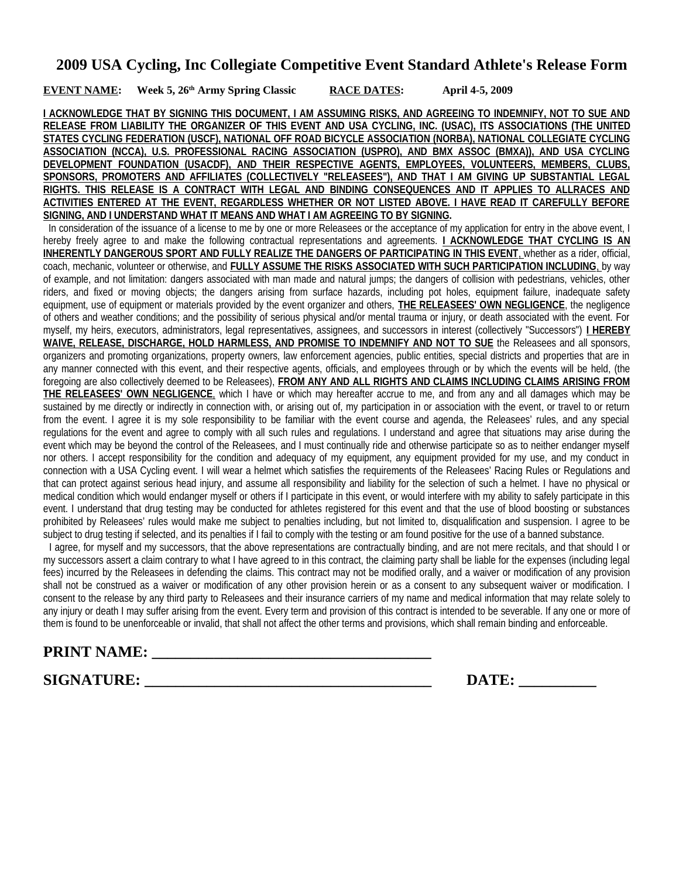#### **EVENT NAME:** Week 5, 26<sup>th</sup> Army Spring Classic RACE DATES: April 4-5, 2009

**I ACKNOWLEDGE THAT BY SIGNING THIS DOCUMENT, I AM ASSUMING RISKS, AND AGREEING TO INDEMNIFY, NOT TO SUE AND RELEASE FROM LIABILITY THE ORGANIZER OF THIS EVENT AND USA CYCLING, INC. (USAC), ITS ASSOCIATIONS (THE UNITED STATES CYCLING FEDERATION (USCF), NATIONAL OFF ROAD BICYCLE ASSOCIATION (NORBA), NATIONAL COLLEGIATE CYCLING ASSOCIATION (NCCA), U.S. PROFESSIONAL RACING ASSOCIATION (USPRO), AND BMX ASSOC (BMXA)), AND USA CYCLING DEVELOPMENT FOUNDATION (USACDF), AND THEIR RESPECTIVE AGENTS, EMPLOYEES, VOLUNTEERS, MEMBERS, CLUBS, SPONSORS, PROMOTERS AND AFFILIATES (COLLECTIVELY "RELEASEES"), AND THAT I AM GIVING UP SUBSTANTIAL LEGAL RIGHTS. THIS RELEASE IS A CONTRACT WITH LEGAL AND BINDING CONSEQUENCES AND IT APPLIES TO ALLRACES AND ACTIVITIES ENTERED AT THE EVENT, REGARDLESS WHETHER OR NOT LISTED ABOVE. I HAVE READ IT CAREFULLY BEFORE SIGNING, AND I UNDERSTAND WHAT IT MEANS AND WHAT I AM AGREEING TO BY SIGNING.**

 In consideration of the issuance of a license to me by one or more Releasees or the acceptance of my application for entry in the above event, I hereby freely agree to and make the following contractual representations and agreements. **I ACKNOWLEDGE THAT CYCLING IS AN INHERENTLY DANGEROUS SPORT AND FULLY REALIZE THE DANGERS OF PARTICIPATING IN THIS EVENT**, whether as a rider, official, coach, mechanic, volunteer or otherwise, and **FULLY ASSUME THE RISKS ASSOCIATED WITH SUCH PARTICIPATION INCLUDING** , by way of example, and not limitation: dangers associated with man made and natural jumps; the dangers of collision with pedestrians, vehicles, other riders, and fixed or moving objects; the dangers arising from surface hazards, including pot holes, equipment failure, inadequate safety equipment, use of equipment or materials provided by the event organizer and others, **THE RELEASEES' OWN NEGLIGENCE**, the negligence of others and weather conditions; and the possibility of serious physical and/or mental trauma or injury, or death associated with the event. For myself, my heirs, executors, administrators, legal representatives, assignees, and successors in interest (collectively "Successors") **I HEREBY WAIVE, RELEASE, DISCHARGE, HOLD HARMLESS, AND PROMISE TO INDEMNIFY AND NOT TO SUE** the Releasees and all sponsors, organizers and promoting organizations, property owners, law enforcement agencies, public entities, special districts and properties that are in any manner connected with this event, and their respective agents, officials, and employees through or by which the events will be held, (the foregoing are also collectively deemed to be Releasees), **FROM ANY AND ALL RIGHTS AND CLAIMS INCLUDING CLAIMS ARISING FROM THE RELEASEES' OWN NEGLIGENCE**, which I have or which may hereafter accrue to me, and from any and all damages which may be sustained by me directly or indirectly in connection with, or arising out of, my participation in or association with the event, or travel to or return from the event. I agree it is my sole responsibility to be familiar with the event course and agenda, the Releasees' rules, and any special regulations for the event and agree to comply with all such rules and regulations. I understand and agree that situations may arise during the event which may be beyond the control of the Releasees, and I must continually ride and otherwise participate so as to neither endanger myself nor others. I accept responsibility for the condition and adequacy of my equipment, any equipment provided for my use, and my conduct in connection with a USA Cycling event. I will wear a helmet which satisfies the requirements of the Releasees' Racing Rules or Regulations and that can protect against serious head injury, and assume all responsibility and liability for the selection of such a helmet. I have no physical or medical condition which would endanger myself or others if I participate in this event, or would interfere with my ability to safely participate in this event. I understand that drug testing may be conducted for athletes registered for this event and that the use of blood boosting or substances prohibited by Releasees' rules would make me subject to penalties including, but not limited to, disqualification and suspension. I agree to be subject to drug testing if selected, and its penalties if I fail to comply with the testing or am found positive for the use of a banned substance.

 I agree, for myself and my successors, that the above representations are contractually binding, and are not mere recitals, and that should I or my successors assert a claim contrary to what I have agreed to in this contract, the claiming party shall be liable for the expenses (including legal fees) incurred by the Releasees in defending the claims. This contract may not be modified orally, and a waiver or modification of any provision shall not be construed as a waiver or modification of any other provision herein or as a consent to any subsequent waiver or modification. I consent to the release by any third party to Releasees and their insurance carriers of my name and medical information that may relate solely to any injury or death I may suffer arising from the event. Every term and provision of this contract is intended to be severable. If any one or more of them is found to be unenforceable or invalid, that shall not affect the other terms and provisions, which shall remain binding and enforceable.

## **PRINT NAME: \_\_\_\_\_\_\_\_\_\_\_\_\_\_\_\_\_\_\_\_\_\_\_\_\_\_\_\_\_\_\_\_\_\_\_\_**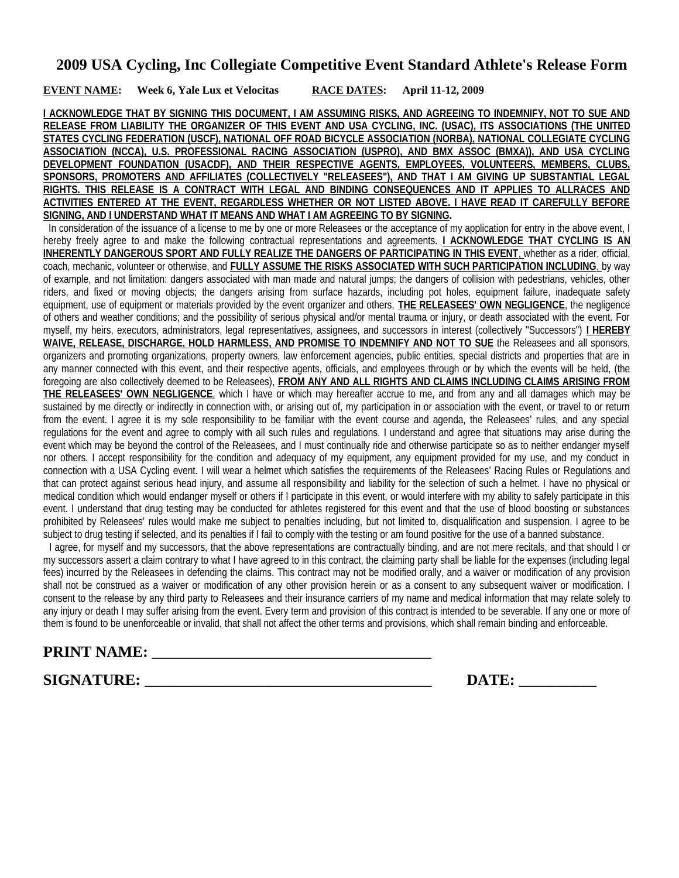**EVENT NAME: Week 6, Yale Lux et Velocitas RACE DATES: April 11-12, 2009**

**I ACKNOWLEDGE THAT BY SIGNING THIS DOCUMENT, I AM ASSUMING RISKS, AND AGREEING TO INDEMNIFY, NOT TO SUE AND RELEASE FROM LIABILITY THE ORGANIZER OF THIS EVENT AND USA CYCLING, INC. (USAC), ITS ASSOCIATIONS (THE UNITED STATES CYCLING FEDERATION (USCF), NATIONAL OFF ROAD BICYCLE ASSOCIATION (NORBA), NATIONAL COLLEGIATE CYCLING ASSOCIATION (NCCA), U.S. PROFESSIONAL RACING ASSOCIATION (USPRO), AND BMX ASSOC (BMXA)), AND USA CYCLING DEVELOPMENT FOUNDATION (USACDF), AND THEIR RESPECTIVE AGENTS, EMPLOYEES, VOLUNTEERS, MEMBERS, CLUBS, SPONSORS, PROMOTERS AND AFFILIATES (COLLECTIVELY "RELEASEES"), AND THAT I AM GIVING UP SUBSTANTIAL LEGAL RIGHTS. THIS RELEASE IS A CONTRACT WITH LEGAL AND BINDING CONSEQUENCES AND IT APPLIES TO ALLRACES AND ACTIVITIES ENTERED AT THE EVENT, REGARDLESS WHETHER OR NOT LISTED ABOVE. I HAVE READ IT CAREFULLY BEFORE SIGNING, AND I UNDERSTAND WHAT IT MEANS AND WHAT I AM AGREEING TO BY SIGNING.**

 In consideration of the issuance of a license to me by one or more Releasees or the acceptance of my application for entry in the above event, I hereby freely agree to and make the following contractual representations and agreements. **I ACKNOWLEDGE THAT CYCLING IS AN INHERENTLY DANGEROUS SPORT AND FULLY REALIZE THE DANGERS OF PARTICIPATING IN THIS EVENT**, whether as a rider, official, coach, mechanic, volunteer or otherwise, and **FULLY ASSUME THE RISKS ASSOCIATED WITH SUCH PARTICIPATION INCLUDING** , by way of example, and not limitation: dangers associated with man made and natural jumps; the dangers of collision with pedestrians, vehicles, other riders, and fixed or moving objects; the dangers arising from surface hazards, including pot holes, equipment failure, inadequate safety equipment, use of equipment or materials provided by the event organizer and others, **THE RELEASEES' OWN NEGLIGENCE**, the negligence of others and weather conditions; and the possibility of serious physical and/or mental trauma or injury, or death associated with the event. For myself, my heirs, executors, administrators, legal representatives, assignees, and successors in interest (collectively "Successors") **I HEREBY WAIVE, RELEASE, DISCHARGE, HOLD HARMLESS, AND PROMISE TO INDEMNIFY AND NOT TO SUE** the Releasees and all sponsors, organizers and promoting organizations, property owners, law enforcement agencies, public entities, special districts and properties that are in any manner connected with this event, and their respective agents, officials, and employees through or by which the events will be held, (the foregoing are also collectively deemed to be Releasees), **FROM ANY AND ALL RIGHTS AND CLAIMS INCLUDING CLAIMS ARISING FROM THE RELEASEES' OWN NEGLIGENCE**, which I have or which may hereafter accrue to me, and from any and all damages which may be sustained by me directly or indirectly in connection with, or arising out of, my participation in or association with the event, or travel to or return from the event. I agree it is my sole responsibility to be familiar with the event course and agenda, the Releasees' rules, and any special regulations for the event and agree to comply with all such rules and regulations. I understand and agree that situations may arise during the event which may be beyond the control of the Releasees, and I must continually ride and otherwise participate so as to neither endanger myself nor others. I accept responsibility for the condition and adequacy of my equipment, any equipment provided for my use, and my conduct in connection with a USA Cycling event. I will wear a helmet which satisfies the requirements of the Releasees' Racing Rules or Regulations and that can protect against serious head injury, and assume all responsibility and liability for the selection of such a helmet. I have no physical or medical condition which would endanger myself or others if I participate in this event, or would interfere with my ability to safely participate in this event. I understand that drug testing may be conducted for athletes registered for this event and that the use of blood boosting or substances prohibited by Releasees' rules would make me subject to penalties including, but not limited to, disqualification and suspension. I agree to be subject to drug testing if selected, and its penalties if I fail to comply with the testing or am found positive for the use of a banned substance.

 I agree, for myself and my successors, that the above representations are contractually binding, and are not mere recitals, and that should I or my successors assert a claim contrary to what I have agreed to in this contract, the claiming party shall be liable for the expenses (including legal fees) incurred by the Releasees in defending the claims. This contract may not be modified orally, and a waiver or modification of any provision shall not be construed as a waiver or modification of any other provision herein or as a consent to any subsequent waiver or modification. I consent to the release by any third party to Releasees and their insurance carriers of my name and medical information that may relate solely to any injury or death I may suffer arising from the event. Every term and provision of this contract is intended to be severable. If any one or more of them is found to be unenforceable or invalid, that shall not affect the other terms and provisions, which shall remain binding and enforceable.

# **PRINT NAME: \_\_\_\_\_\_\_\_\_\_\_\_\_\_\_\_\_\_\_\_\_\_\_\_\_\_\_\_\_\_\_\_\_\_\_\_**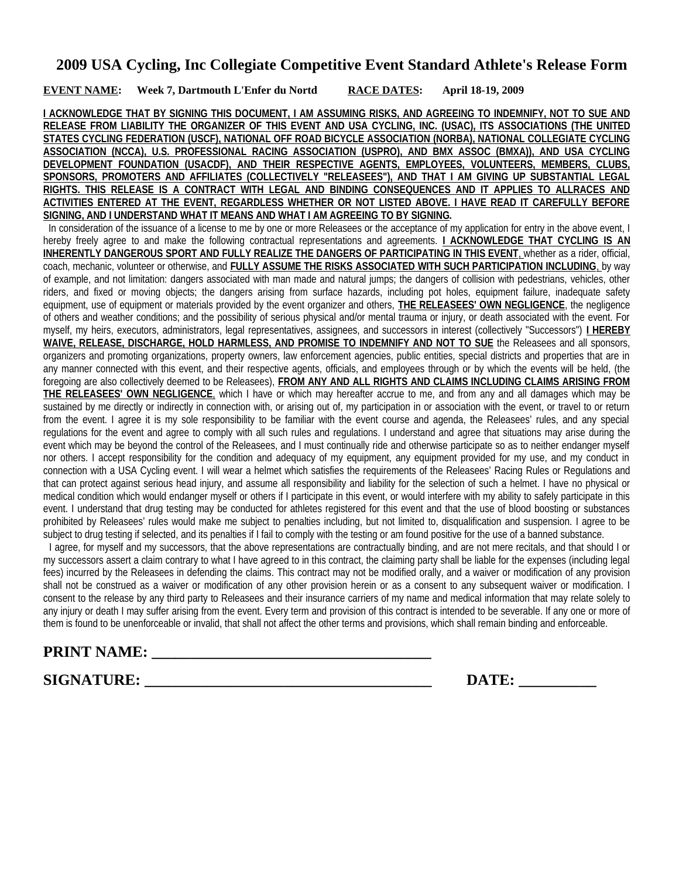**EVENT NAME: Week 7, Dartmouth L'Enfer du Nortd RACE DATES: April 18-19, 2009**

**I ACKNOWLEDGE THAT BY SIGNING THIS DOCUMENT, I AM ASSUMING RISKS, AND AGREEING TO INDEMNIFY, NOT TO SUE AND RELEASE FROM LIABILITY THE ORGANIZER OF THIS EVENT AND USA CYCLING, INC. (USAC), ITS ASSOCIATIONS (THE UNITED STATES CYCLING FEDERATION (USCF), NATIONAL OFF ROAD BICYCLE ASSOCIATION (NORBA), NATIONAL COLLEGIATE CYCLING ASSOCIATION (NCCA), U.S. PROFESSIONAL RACING ASSOCIATION (USPRO), AND BMX ASSOC (BMXA)), AND USA CYCLING DEVELOPMENT FOUNDATION (USACDF), AND THEIR RESPECTIVE AGENTS, EMPLOYEES, VOLUNTEERS, MEMBERS, CLUBS, SPONSORS, PROMOTERS AND AFFILIATES (COLLECTIVELY "RELEASEES"), AND THAT I AM GIVING UP SUBSTANTIAL LEGAL RIGHTS. THIS RELEASE IS A CONTRACT WITH LEGAL AND BINDING CONSEQUENCES AND IT APPLIES TO ALLRACES AND ACTIVITIES ENTERED AT THE EVENT, REGARDLESS WHETHER OR NOT LISTED ABOVE. I HAVE READ IT CAREFULLY BEFORE SIGNING, AND I UNDERSTAND WHAT IT MEANS AND WHAT I AM AGREEING TO BY SIGNING.**

 In consideration of the issuance of a license to me by one or more Releasees or the acceptance of my application for entry in the above event, I hereby freely agree to and make the following contractual representations and agreements. **I ACKNOWLEDGE THAT CYCLING IS AN INHERENTLY DANGEROUS SPORT AND FULLY REALIZE THE DANGERS OF PARTICIPATING IN THIS EVENT**, whether as a rider, official, coach, mechanic, volunteer or otherwise, and **FULLY ASSUME THE RISKS ASSOCIATED WITH SUCH PARTICIPATION INCLUDING** , by way of example, and not limitation: dangers associated with man made and natural jumps; the dangers of collision with pedestrians, vehicles, other riders, and fixed or moving objects; the dangers arising from surface hazards, including pot holes, equipment failure, inadequate safety equipment, use of equipment or materials provided by the event organizer and others, **THE RELEASEES' OWN NEGLIGENCE**, the negligence of others and weather conditions; and the possibility of serious physical and/or mental trauma or injury, or death associated with the event. For myself, my heirs, executors, administrators, legal representatives, assignees, and successors in interest (collectively "Successors") **I HEREBY WAIVE, RELEASE, DISCHARGE, HOLD HARMLESS, AND PROMISE TO INDEMNIFY AND NOT TO SUE** the Releasees and all sponsors, organizers and promoting organizations, property owners, law enforcement agencies, public entities, special districts and properties that are in any manner connected with this event, and their respective agents, officials, and employees through or by which the events will be held, (the foregoing are also collectively deemed to be Releasees), **FROM ANY AND ALL RIGHTS AND CLAIMS INCLUDING CLAIMS ARISING FROM THE RELEASEES' OWN NEGLIGENCE**, which I have or which may hereafter accrue to me, and from any and all damages which may be sustained by me directly or indirectly in connection with, or arising out of, my participation in or association with the event, or travel to or return from the event. I agree it is my sole responsibility to be familiar with the event course and agenda, the Releasees' rules, and any special regulations for the event and agree to comply with all such rules and regulations. I understand and agree that situations may arise during the event which may be beyond the control of the Releasees, and I must continually ride and otherwise participate so as to neither endanger myself nor others. I accept responsibility for the condition and adequacy of my equipment, any equipment provided for my use, and my conduct in connection with a USA Cycling event. I will wear a helmet which satisfies the requirements of the Releasees' Racing Rules or Regulations and that can protect against serious head injury, and assume all responsibility and liability for the selection of such a helmet. I have no physical or medical condition which would endanger myself or others if I participate in this event, or would interfere with my ability to safely participate in this event. I understand that drug testing may be conducted for athletes registered for this event and that the use of blood boosting or substances prohibited by Releasees' rules would make me subject to penalties including, but not limited to, disqualification and suspension. I agree to be subject to drug testing if selected, and its penalties if I fail to comply with the testing or am found positive for the use of a banned substance.

 I agree, for myself and my successors, that the above representations are contractually binding, and are not mere recitals, and that should I or my successors assert a claim contrary to what I have agreed to in this contract, the claiming party shall be liable for the expenses (including legal fees) incurred by the Releasees in defending the claims. This contract may not be modified orally, and a waiver or modification of any provision shall not be construed as a waiver or modification of any other provision herein or as a consent to any subsequent waiver or modification. I consent to the release by any third party to Releasees and their insurance carriers of my name and medical information that may relate solely to any injury or death I may suffer arising from the event. Every term and provision of this contract is intended to be severable. If any one or more of them is found to be unenforceable or invalid, that shall not affect the other terms and provisions, which shall remain binding and enforceable.

# **PRINT NAME: \_\_\_\_\_\_\_\_\_\_\_\_\_\_\_\_\_\_\_\_\_\_\_\_\_\_\_\_\_\_\_\_\_\_\_\_**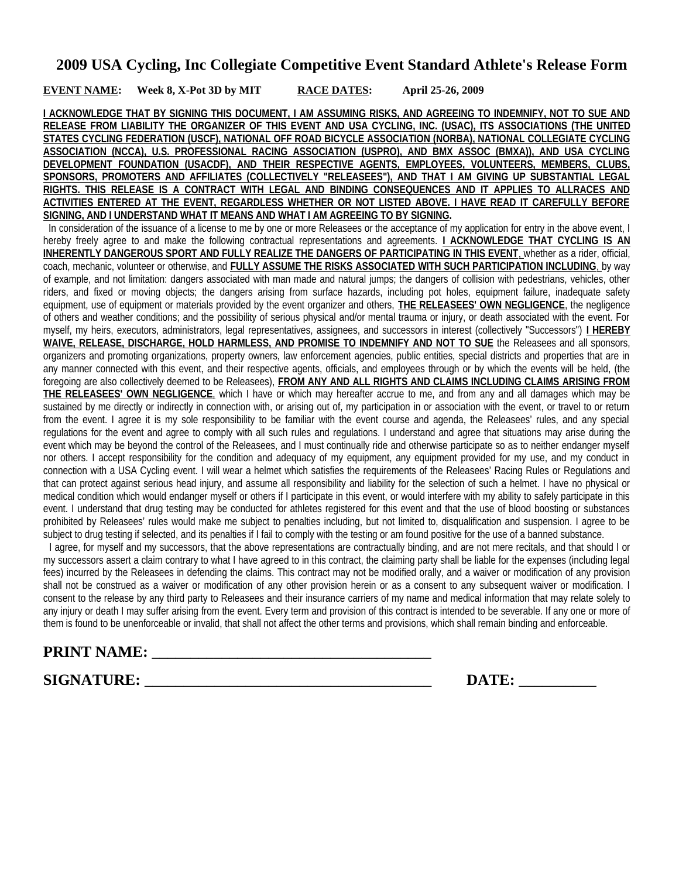#### **EVENT NAME: Week 8, X-Pot 3D by MIT RACE DATES: April 25-26, 2009**

**I ACKNOWLEDGE THAT BY SIGNING THIS DOCUMENT, I AM ASSUMING RISKS, AND AGREEING TO INDEMNIFY, NOT TO SUE AND RELEASE FROM LIABILITY THE ORGANIZER OF THIS EVENT AND USA CYCLING, INC. (USAC), ITS ASSOCIATIONS (THE UNITED STATES CYCLING FEDERATION (USCF), NATIONAL OFF ROAD BICYCLE ASSOCIATION (NORBA), NATIONAL COLLEGIATE CYCLING ASSOCIATION (NCCA), U.S. PROFESSIONAL RACING ASSOCIATION (USPRO), AND BMX ASSOC (BMXA)), AND USA CYCLING DEVELOPMENT FOUNDATION (USACDF), AND THEIR RESPECTIVE AGENTS, EMPLOYEES, VOLUNTEERS, MEMBERS, CLUBS, SPONSORS, PROMOTERS AND AFFILIATES (COLLECTIVELY "RELEASEES"), AND THAT I AM GIVING UP SUBSTANTIAL LEGAL RIGHTS. THIS RELEASE IS A CONTRACT WITH LEGAL AND BINDING CONSEQUENCES AND IT APPLIES TO ALLRACES AND ACTIVITIES ENTERED AT THE EVENT, REGARDLESS WHETHER OR NOT LISTED ABOVE. I HAVE READ IT CAREFULLY BEFORE SIGNING, AND I UNDERSTAND WHAT IT MEANS AND WHAT I AM AGREEING TO BY SIGNING.**

 In consideration of the issuance of a license to me by one or more Releasees or the acceptance of my application for entry in the above event, I hereby freely agree to and make the following contractual representations and agreements. **I ACKNOWLEDGE THAT CYCLING IS AN INHERENTLY DANGEROUS SPORT AND FULLY REALIZE THE DANGERS OF PARTICIPATING IN THIS EVENT**, whether as a rider, official, coach, mechanic, volunteer or otherwise, and **FULLY ASSUME THE RISKS ASSOCIATED WITH SUCH PARTICIPATION INCLUDING** , by way of example, and not limitation: dangers associated with man made and natural jumps; the dangers of collision with pedestrians, vehicles, other riders, and fixed or moving objects; the dangers arising from surface hazards, including pot holes, equipment failure, inadequate safety equipment, use of equipment or materials provided by the event organizer and others, **THE RELEASEES' OWN NEGLIGENCE**, the negligence of others and weather conditions; and the possibility of serious physical and/or mental trauma or injury, or death associated with the event. For myself, my heirs, executors, administrators, legal representatives, assignees, and successors in interest (collectively "Successors") **I HEREBY WAIVE, RELEASE, DISCHARGE, HOLD HARMLESS, AND PROMISE TO INDEMNIFY AND NOT TO SUE** the Releasees and all sponsors, organizers and promoting organizations, property owners, law enforcement agencies, public entities, special districts and properties that are in any manner connected with this event, and their respective agents, officials, and employees through or by which the events will be held, (the foregoing are also collectively deemed to be Releasees), **FROM ANY AND ALL RIGHTS AND CLAIMS INCLUDING CLAIMS ARISING FROM THE RELEASEES' OWN NEGLIGENCE**, which I have or which may hereafter accrue to me, and from any and all damages which may be sustained by me directly or indirectly in connection with, or arising out of, my participation in or association with the event, or travel to or return from the event. I agree it is my sole responsibility to be familiar with the event course and agenda, the Releasees' rules, and any special regulations for the event and agree to comply with all such rules and regulations. I understand and agree that situations may arise during the event which may be beyond the control of the Releasees, and I must continually ride and otherwise participate so as to neither endanger myself nor others. I accept responsibility for the condition and adequacy of my equipment, any equipment provided for my use, and my conduct in connection with a USA Cycling event. I will wear a helmet which satisfies the requirements of the Releasees' Racing Rules or Regulations and that can protect against serious head injury, and assume all responsibility and liability for the selection of such a helmet. I have no physical or medical condition which would endanger myself or others if I participate in this event, or would interfere with my ability to safely participate in this event. I understand that drug testing may be conducted for athletes registered for this event and that the use of blood boosting or substances prohibited by Releasees' rules would make me subject to penalties including, but not limited to, disqualification and suspension. I agree to be subject to drug testing if selected, and its penalties if I fail to comply with the testing or am found positive for the use of a banned substance.

 I agree, for myself and my successors, that the above representations are contractually binding, and are not mere recitals, and that should I or my successors assert a claim contrary to what I have agreed to in this contract, the claiming party shall be liable for the expenses (including legal fees) incurred by the Releasees in defending the claims. This contract may not be modified orally, and a waiver or modification of any provision shall not be construed as a waiver or modification of any other provision herein or as a consent to any subsequent waiver or modification. I consent to the release by any third party to Releasees and their insurance carriers of my name and medical information that may relate solely to any injury or death I may suffer arising from the event. Every term and provision of this contract is intended to be severable. If any one or more of them is found to be unenforceable or invalid, that shall not affect the other terms and provisions, which shall remain binding and enforceable.

# **PRINT NAME: \_\_\_\_\_\_\_\_\_\_\_\_\_\_\_\_\_\_\_\_\_\_\_\_\_\_\_\_\_\_\_\_\_\_\_\_**